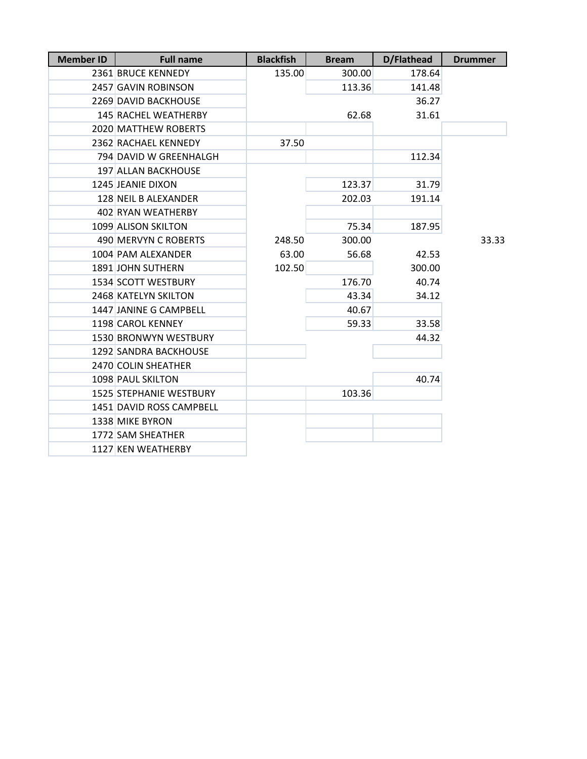| <b>Member ID</b> | <b>Full name</b>               | <b>Blackfish</b> | <b>Bream</b> | D/Flathead | <b>Drummer</b> |
|------------------|--------------------------------|------------------|--------------|------------|----------------|
|                  | 2361 BRUCE KENNEDY             | 135.00           | 300.00       | 178.64     |                |
|                  | 2457 GAVIN ROBINSON            |                  | 113.36       | 141.48     |                |
|                  | 2269 DAVID BACKHOUSE           |                  |              | 36.27      |                |
|                  | <b>145 RACHEL WEATHERBY</b>    |                  | 62.68        | 31.61      |                |
|                  | 2020 MATTHEW ROBERTS           |                  |              |            |                |
|                  | 2362 RACHAEL KENNEDY           | 37.50            |              |            |                |
|                  | 794 DAVID W GREENHALGH         |                  |              | 112.34     |                |
|                  | 197 ALLAN BACKHOUSE            |                  |              |            |                |
|                  | 1245 JEANIE DIXON              |                  | 123.37       | 31.79      |                |
|                  | 128 NEIL B ALEXANDER           |                  | 202.03       | 191.14     |                |
|                  | 402 RYAN WEATHERBY             |                  |              |            |                |
|                  | 1099 ALISON SKILTON            |                  | 75.34        | 187.95     |                |
|                  | 490 MERVYN C ROBERTS           | 248.50           | 300.00       |            | 33.33          |
|                  | 1004 PAM ALEXANDER             | 63.00            | 56.68        | 42.53      |                |
|                  | 1891 JOHN SUTHERN              | 102.50           |              | 300.00     |                |
|                  | 1534 SCOTT WESTBURY            |                  | 176.70       | 40.74      |                |
|                  | 2468 KATELYN SKILTON           |                  | 43.34        | 34.12      |                |
|                  | 1447 JANINE G CAMPBELL         |                  | 40.67        |            |                |
|                  | 1198 CAROL KENNEY              |                  | 59.33        | 33.58      |                |
|                  | 1530 BRONWYN WESTBURY          |                  |              | 44.32      |                |
|                  | 1292 SANDRA BACKHOUSE          |                  |              |            |                |
|                  | 2470 COLIN SHEATHER            |                  |              |            |                |
|                  | 1098 PAUL SKILTON              |                  |              | 40.74      |                |
|                  | <b>1525 STEPHANIE WESTBURY</b> |                  | 103.36       |            |                |
|                  | 1451 DAVID ROSS CAMPBELL       |                  |              |            |                |
|                  | 1338 MIKE BYRON                |                  |              |            |                |
|                  | 1772 SAM SHEATHER              |                  |              |            |                |
|                  | 1127 KEN WEATHERBY             |                  |              |            |                |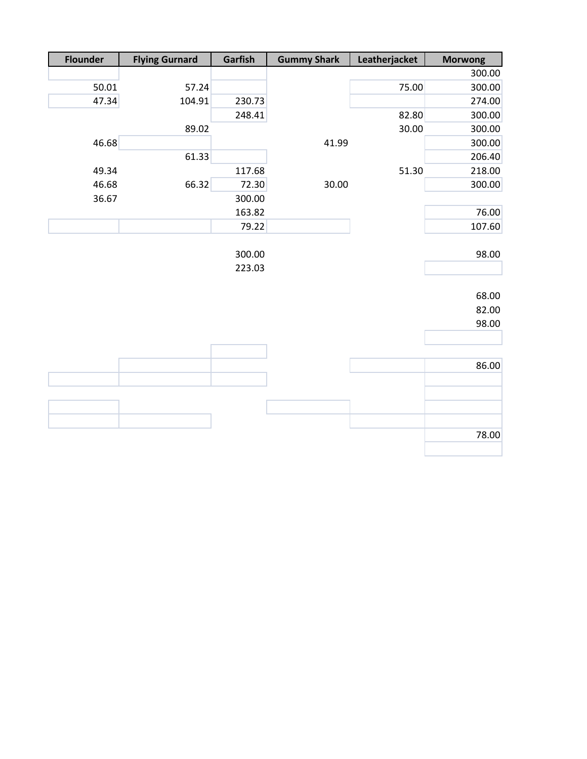| <b>Flounder</b> | <b>Flying Gurnard</b> | Garfish | <b>Gummy Shark</b> | Leatherjacket | <b>Morwong</b> |
|-----------------|-----------------------|---------|--------------------|---------------|----------------|
|                 |                       |         |                    |               | 300.00         |
| 50.01           | 57.24                 |         |                    | 75.00         | 300.00         |
| 47.34           | 104.91                | 230.73  |                    |               | 274.00         |
|                 |                       | 248.41  |                    | 82.80         | 300.00         |
|                 | 89.02                 |         |                    | 30.00         | 300.00         |
| 46.68           |                       |         | 41.99              |               | 300.00         |
|                 | 61.33                 |         |                    |               | 206.40         |
| 49.34           |                       | 117.68  |                    | 51.30         | 218.00         |
| 46.68           | 66.32                 | 72.30   | 30.00              |               | 300.00         |
| 36.67           |                       | 300.00  |                    |               |                |
|                 |                       | 163.82  |                    |               | 76.00          |
|                 |                       | 79.22   |                    |               | 107.60         |
|                 |                       |         |                    |               |                |
|                 |                       | 300.00  |                    |               | 98.00          |
|                 |                       | 223.03  |                    |               |                |
|                 |                       |         |                    |               |                |
|                 |                       |         |                    |               | 68.00          |
|                 |                       |         |                    |               | 82.00          |
|                 |                       |         |                    |               | 98.00          |
|                 |                       |         |                    |               |                |
|                 |                       |         |                    |               |                |
|                 |                       |         |                    |               | 86.00          |
|                 |                       |         |                    |               |                |
|                 |                       |         |                    |               |                |
|                 |                       |         |                    |               |                |
|                 |                       |         |                    |               |                |
|                 |                       |         |                    |               | 78.00          |
|                 |                       |         |                    |               |                |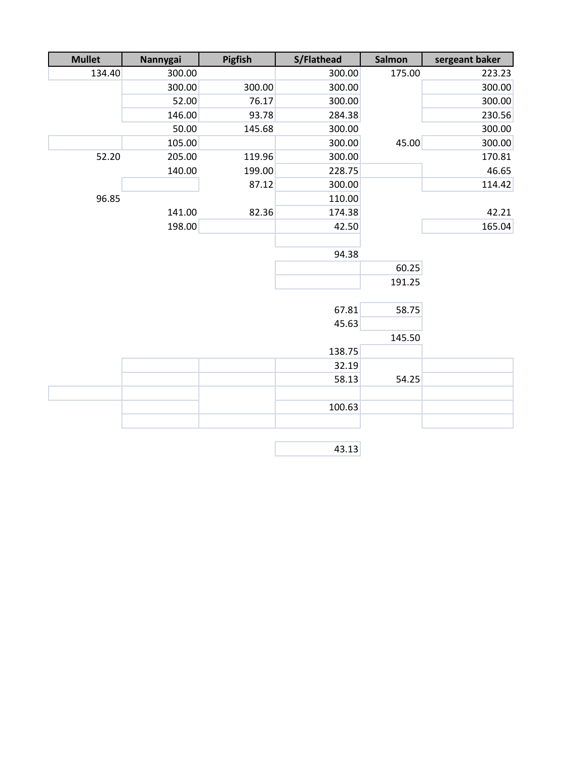| <b>Mullet</b> | Nannygai | Pigfish | S/Flathead | Salmon | sergeant baker |
|---------------|----------|---------|------------|--------|----------------|
| 134.40        | 300.00   |         | 300.00     | 175.00 | 223.23         |
|               | 300.00   | 300.00  | 300.00     |        | 300.00         |
|               | 52.00    | 76.17   | 300.00     |        | 300.00         |
|               | 146.00   | 93.78   | 284.38     |        | 230.56         |
|               | 50.00    | 145.68  | 300.00     |        | 300.00         |
|               | 105.00   |         | 300.00     | 45.00  | 300.00         |
| 52.20         | 205.00   | 119.96  | 300.00     |        | 170.81         |
|               | 140.00   | 199.00  | 228.75     |        | 46.65          |
|               |          | 87.12   | 300.00     |        | 114.42         |
| 96.85         |          |         | 110.00     |        |                |
|               | 141.00   | 82.36   | 174.38     |        | 42.21          |
|               | 198.00   |         | 42.50      |        | 165.04         |
|               |          |         |            |        |                |
|               |          |         | 94.38      |        |                |
|               |          |         |            | 60.25  |                |
|               |          |         |            | 191.25 |                |
|               |          |         |            |        |                |
|               |          |         | 67.81      | 58.75  |                |
|               |          |         | 45.63      |        |                |
|               |          |         |            | 145.50 |                |
|               |          |         | 138.75     |        |                |
|               |          |         | 32.19      |        |                |
|               |          |         | 58.13      | 54.25  |                |
|               |          |         |            |        |                |
|               |          |         | 100.63     |        |                |
|               |          |         |            |        |                |
|               |          |         |            |        |                |
|               |          |         | 43.13      |        |                |